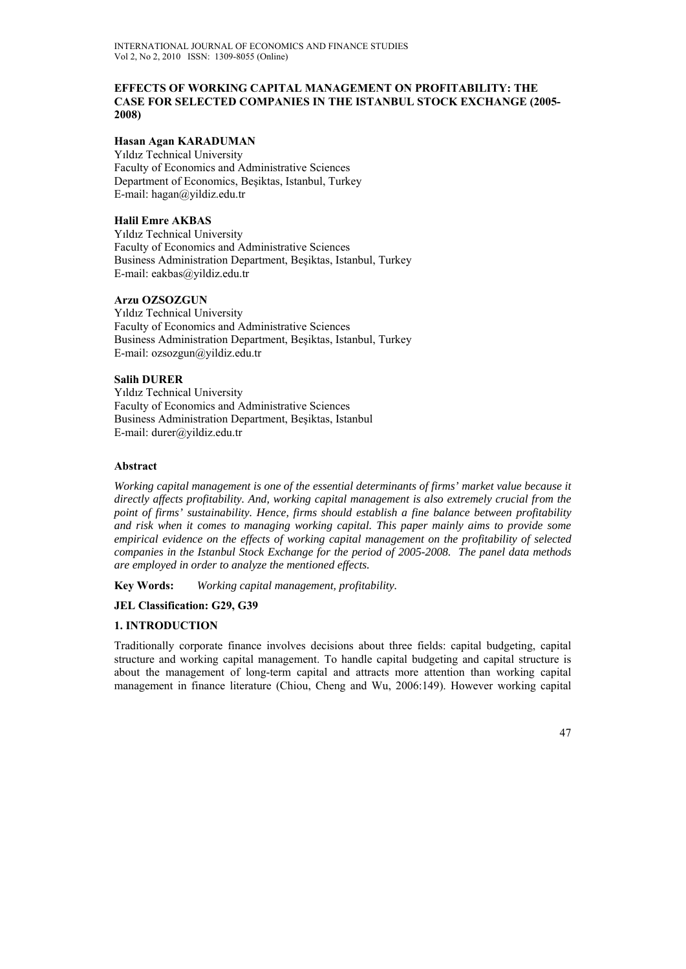### **EFFECTS OF WORKING CAPITAL MANAGEMENT ON PROFITABILITY: THE CASE FOR SELECTED COMPANIES IN THE ISTANBUL STOCK EXCHANGE (2005- 2008)**

### **Hasan Agan KARADUMAN**

Yıldız Technical University Faculty of Economics and Administrative Sciences Department of Economics, Beşiktas, Istanbul, Turkey E-mail: hagan@yildiz.edu.tr

# **Halil Emre AKBAS**

Yıldız Technical University Faculty of Economics and Administrative Sciences Business Administration Department, Beşiktas, Istanbul, Turkey E-mail: eakbas@yildiz.edu.tr

### **Arzu OZSOZGUN**

Yıldız Technical University Faculty of Economics and Administrative Sciences Business Administration Department, Beşiktas, Istanbul, Turkey E-mail: ozsozgun@yildiz.edu.tr

# **Salih DURER**

Yıldız Technical University Faculty of Economics and Administrative Sciences Business Administration Department, Beşiktas, Istanbul E-mail: durer@yildiz.edu.tr

#### **Abstract**

*Working capital management is one of the essential determinants of firms' market value because it directly affects profitability. And, working capital management is also extremely crucial from the point of firms' sustainability. Hence, firms should establish a fine balance between profitability and risk when it comes to managing working capital. This paper mainly aims to provide some empirical evidence on the effects of working capital management on the profitability of selected companies in the Istanbul Stock Exchange for the period of 2005-2008. The panel data methods are employed in order to analyze the mentioned effects.* 

**Key Words:** *Working capital management, profitability.* 

#### **JEL Classification: G29, G39**

# **1. INTRODUCTION**

Traditionally corporate finance involves decisions about three fields: capital budgeting, capital structure and working capital management. To handle capital budgeting and capital structure is about the management of long-term capital and attracts more attention than working capital management in finance literature (Chiou, Cheng and Wu, 2006:149). However working capital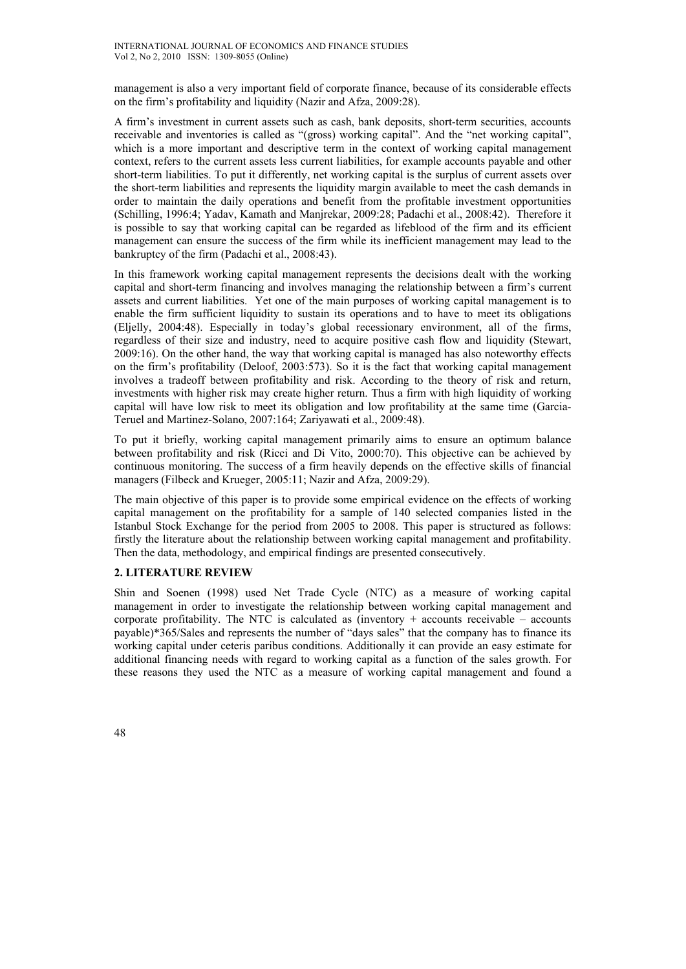management is also a very important field of corporate finance, because of its considerable effects on the firm's profitability and liquidity (Nazir and Afza, 2009:28).

A firm's investment in current assets such as cash, bank deposits, short-term securities, accounts receivable and inventories is called as "(gross) working capital". And the "net working capital", which is a more important and descriptive term in the context of working capital management context, refers to the current assets less current liabilities, for example accounts payable and other short-term liabilities. To put it differently, net working capital is the surplus of current assets over the short-term liabilities and represents the liquidity margin available to meet the cash demands in order to maintain the daily operations and benefit from the profitable investment opportunities (Schilling, 1996:4; Yadav, Kamath and Manjrekar, 2009:28; Padachi et al., 2008:42). Therefore it is possible to say that working capital can be regarded as lifeblood of the firm and its efficient management can ensure the success of the firm while its inefficient management may lead to the bankruptcy of the firm (Padachi et al., 2008:43).

In this framework working capital management represents the decisions dealt with the working capital and short-term financing and involves managing the relationship between a firm's current assets and current liabilities. Yet one of the main purposes of working capital management is to enable the firm sufficient liquidity to sustain its operations and to have to meet its obligations (Eljelly, 2004:48). Especially in today's global recessionary environment, all of the firms, regardless of their size and industry, need to acquire positive cash flow and liquidity (Stewart, 2009:16). On the other hand, the way that working capital is managed has also noteworthy effects on the firm's profitability (Deloof, 2003:573). So it is the fact that working capital management involves a tradeoff between profitability and risk. According to the theory of risk and return, investments with higher risk may create higher return. Thus a firm with high liquidity of working capital will have low risk to meet its obligation and low profitability at the same time (Garcia-Teruel and Martinez-Solano, 2007:164; Zariyawati et al., 2009:48).

To put it briefly, working capital management primarily aims to ensure an optimum balance between profitability and risk (Ricci and Di Vito, 2000:70). This objective can be achieved by continuous monitoring. The success of a firm heavily depends on the effective skills of financial managers (Filbeck and Krueger, 2005:11; Nazir and Afza, 2009:29).

The main objective of this paper is to provide some empirical evidence on the effects of working capital management on the profitability for a sample of 140 selected companies listed in the Istanbul Stock Exchange for the period from 2005 to 2008. This paper is structured as follows: firstly the literature about the relationship between working capital management and profitability. Then the data, methodology, and empirical findings are presented consecutively.

#### **2. LITERATURE REVIEW**

Shin and Soenen (1998) used Net Trade Cycle (NTC) as a measure of working capital management in order to investigate the relationship between working capital management and corporate profitability. The NTC is calculated as (inventory  $+$  accounts receivable  $-$  accounts payable)\*365/Sales and represents the number of "days sales" that the company has to finance its working capital under ceteris paribus conditions. Additionally it can provide an easy estimate for additional financing needs with regard to working capital as a function of the sales growth. For these reasons they used the NTC as a measure of working capital management and found a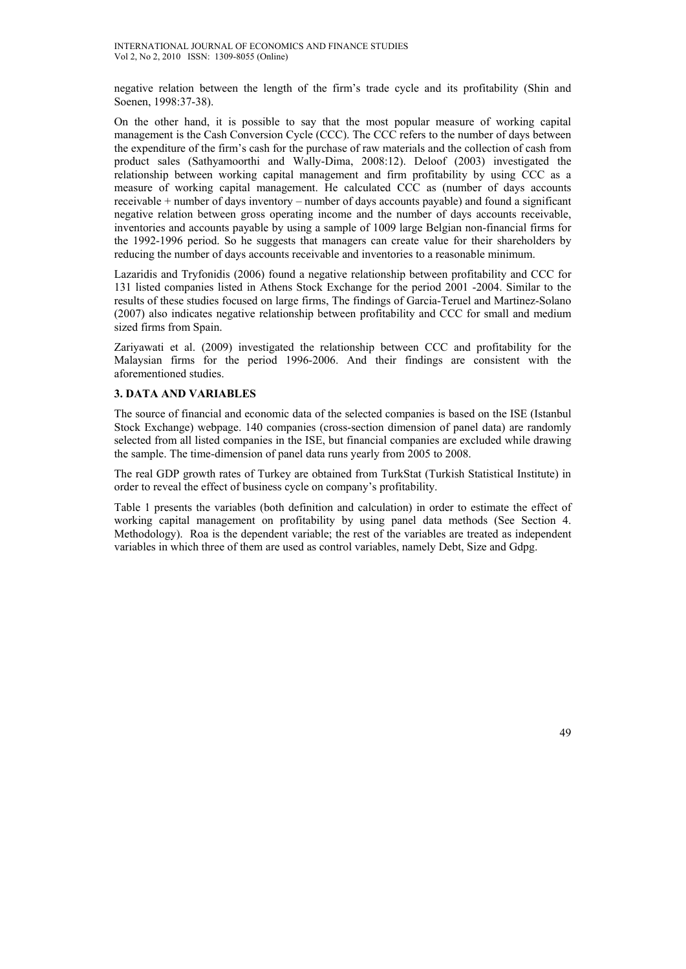negative relation between the length of the firm's trade cycle and its profitability (Shin and Soenen, 1998:37-38).

On the other hand, it is possible to say that the most popular measure of working capital management is the Cash Conversion Cycle (CCC). The CCC refers to the number of days between the expenditure of the firm's cash for the purchase of raw materials and the collection of cash from product sales (Sathyamoorthi and Wally-Dima, 2008:12). Deloof (2003) investigated the relationship between working capital management and firm profitability by using CCC as a measure of working capital management. He calculated CCC as (number of days accounts receivable + number of days inventory – number of days accounts payable) and found a significant negative relation between gross operating income and the number of days accounts receivable, inventories and accounts payable by using a sample of 1009 large Belgian non-financial firms for the 1992-1996 period. So he suggests that managers can create value for their shareholders by reducing the number of days accounts receivable and inventories to a reasonable minimum.

Lazaridis and Tryfonidis (2006) found a negative relationship between profitability and CCC for 131 listed companies listed in Athens Stock Exchange for the period 2001 -2004. Similar to the results of these studies focused on large firms, The findings of Garcia-Teruel and Martinez-Solano (2007) also indicates negative relationship between profitability and CCC for small and medium sized firms from Spain.

Zariyawati et al. (2009) investigated the relationship between CCC and profitability for the Malaysian firms for the period 1996-2006. And their findings are consistent with the aforementioned studies.

### **3. DATA AND VARIABLES**

The source of financial and economic data of the selected companies is based on the ISE (Istanbul Stock Exchange) webpage. 140 companies (cross-section dimension of panel data) are randomly selected from all listed companies in the ISE, but financial companies are excluded while drawing the sample. The time-dimension of panel data runs yearly from 2005 to 2008.

The real GDP growth rates of Turkey are obtained from TurkStat (Turkish Statistical Institute) in order to reveal the effect of business cycle on company's profitability.

Table 1 presents the variables (both definition and calculation) in order to estimate the effect of working capital management on profitability by using panel data methods (See Section 4. Methodology). Roa is the dependent variable; the rest of the variables are treated as independent variables in which three of them are used as control variables, namely Debt, Size and Gdpg.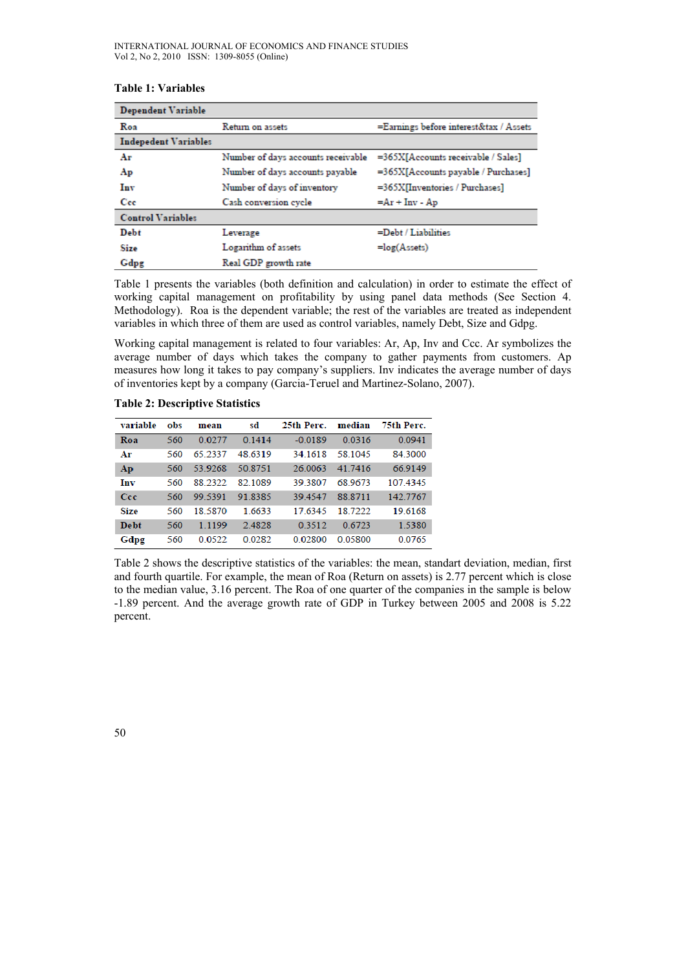| <b>Dependent Variable</b>   |                                                            |                                     |  |  |
|-----------------------------|------------------------------------------------------------|-------------------------------------|--|--|
| Roa                         | =Earnings before interest&tax / Assets<br>Return on assets |                                     |  |  |
| <b>Indepedent Variables</b> |                                                            |                                     |  |  |
| Ar                          | Number of days accounts receivable                         | =365X[Accounts receivable / Sales]  |  |  |
| Ap                          | Number of days accounts payable                            | =365X[Accounts payable / Purchases] |  |  |
| Inv                         | Number of days of inventory                                | =365X[Inventories / Purchases]      |  |  |
| Cee                         | Cash conversion cycle                                      | $=Ar + Inv - Ap$                    |  |  |
| <b>Control Variables</b>    |                                                            |                                     |  |  |
| Debt                        | Leverage                                                   | =Debt / Liabilities                 |  |  |
| Size                        | Logarithm of assets                                        | $=log(Assets)$                      |  |  |
| Gdpg                        | Real GDP growth rate                                       |                                     |  |  |

# **Table 1: Variables**

Table 1 presents the variables (both definition and calculation) in order to estimate the effect of working capital management on profitability by using panel data methods (See Section 4. Methodology). Roa is the dependent variable; the rest of the variables are treated as independent variables in which three of them are used as control variables, namely Debt, Size and Gdpg.

Working capital management is related to four variables: Ar, Ap, Inv and Ccc. Ar symbolizes the average number of days which takes the company to gather payments from customers. Ap measures how long it takes to pay company's suppliers. Inv indicates the average number of days of inventories kept by a company (Garcia-Teruel and Martinez-Solano, 2007).

**Table 2: Descriptive Statistics** 

| variable    | obs | mean      | sd      | 25th Perc. | median  | 75th Perc. |
|-------------|-----|-----------|---------|------------|---------|------------|
| Roa         | 560 | 0.0277    | 0.1414  | $-0.0189$  | 0.0316  | 0.0941     |
| Ar          | 560 | 65 2337   | 48.6319 | 34.1618    | 58.1045 | 84.3000    |
| Ap          | 560 | 53.9268   | 50 8751 | 26 0063    | 41.7416 | 66.9149    |
| Inv         | 560 | 88 2322   | 82.1089 | 39.3807    | 68 9673 | 107.4345   |
| Ccc         | 560 | 99 5391   | 91 8385 | 394547     | 88 8711 | 142.7767   |
| <b>Size</b> | 560 | 18 5870   | 1.6633  | 17 6345    | 18.7222 | 19.6168    |
| <b>Debt</b> | 560 | 1 1 1 9 9 | 2.4828  | 0.3512     | 0.6723  | 1.5380     |
| Gdpg        | 560 | 0.0522    | 0.0282  | 0.02800    | 0.05800 | 0.0765     |

Table 2 shows the descriptive statistics of the variables: the mean, standart deviation, median, first and fourth quartile. For example, the mean of Roa (Return on assets) is 2.77 percent which is close to the median value, 3.16 percent. The Roa of one quarter of the companies in the sample is below -1.89 percent. And the average growth rate of GDP in Turkey between 2005 and 2008 is 5.22 percent.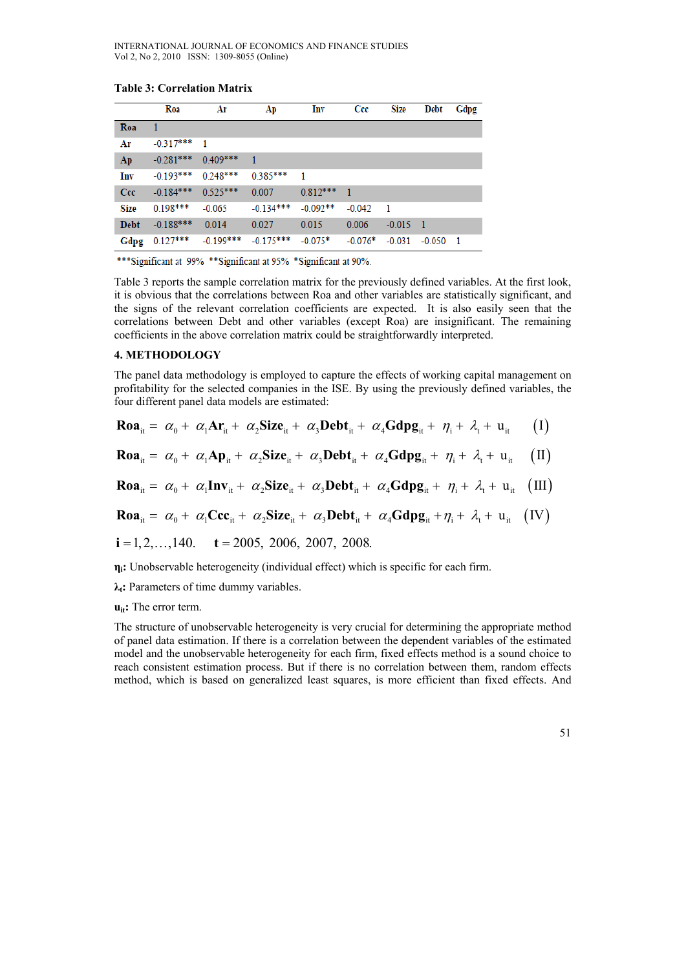**Table 3: Correlation Matrix** 

|             | Roa                    | Ar                   | Ap             | Inv            | Ccc            | Size       | Debt               | Gdpg |
|-------------|------------------------|----------------------|----------------|----------------|----------------|------------|--------------------|------|
| Roa         | -1                     |                      |                |                |                |            |                    |      |
| Ar          | $-0.317***$ 1          |                      |                |                |                |            |                    |      |
| Ap          | $-0.281***$ 0.409***   |                      | $\blacksquare$ |                |                |            |                    |      |
| Inv         |                        | $-0.193***$ 0.248*** | $0.385***$     | $\blacksquare$ |                |            |                    |      |
| Ccc         | $-0.184***$ $0.525***$ |                      | 0.007          | $0.812***$     | $\blacksquare$ |            |                    |      |
| Size        | $0.198***$             | $-0.065$             | $-0.134***$    | $-0.092**$     | $-0.042$       | - 1        |                    |      |
| <b>Debt</b> | $-0.188***$            | 0.014                | 0.027          | 0.015          | 0.006          | $-0.015$ 1 |                    |      |
| Gdpg        | $0.127***$             | $-0.199***$          | $-0.175***$    | $-0.075*$      | $-0.076*$      |            | $-0.031 - 0.050$ 1 |      |

\*\*\*Significant at 99% \*\*Significant at 95% \*Significant at 90%.

Table 3 reports the sample correlation matrix for the previously defined variables. At the first look, it is obvious that the correlations between Roa and other variables are statistically significant, and the signs of the relevant correlation coefficients are expected. It is also easily seen that the correlations between Debt and other variables (except Roa) are insignificant. The remaining coefficients in the above correlation matrix could be straightforwardly interpreted.

#### **4. METHODOLOGY**

The panel data methodology is employed to capture the effects of working capital management on profitability for the selected companies in the ISE. By using the previously defined variables, the four different panel data models are estimated:

$$
\text{Roa}_{it} = \alpha_0 + \alpha_1 \text{Ar}_{it} + \alpha_2 \text{Size}_{it} + \alpha_3 \text{Debt}_{it} + \alpha_4 \text{Gdpg}_{it} + \eta_i + \lambda_t + u_{it} \tag{I}
$$

$$
\text{Roa}_{it} = \alpha_0 + \alpha_1 \text{Ap}_{it} + \alpha_2 \text{Size}_{it} + \alpha_3 \text{Debt}_{it} + \alpha_4 \text{Gdpg}_{it} + \eta_i + \lambda_t + u_{it} \quad (II)
$$

$$
\text{Roa}_{it} = \alpha_0 + \alpha_1 \text{Inv}_{it} + \alpha_2 \text{Size}_{it} + \alpha_3 \text{Debt}_{it} + \alpha_4 \text{Gdpg}_{it} + \eta_i + \lambda_t + u_{it} \quad (III)
$$

$$
\text{Roa}_{it} = \alpha_0 + \alpha_1 \text{Ccc}_{it} + \alpha_2 \text{Size}_{it} + \alpha_3 \text{Debt}_{it} + \alpha_4 \text{Gdpg}_{it} + \eta_i + \lambda_t + u_{it} \quad (IV)
$$

$$
i = 1, 2, \ldots, 140. \quad t = 2005, \ 2006, \ 2007, \ 2008.
$$

**ηi:** Unobservable heterogeneity (individual effect) which is specific for each firm.

**λt:** Parameters of time dummy variables.

#### **u**<sub>it</sub>: The error term.

The structure of unobservable heterogeneity is very crucial for determining the appropriate method of panel data estimation. If there is a correlation between the dependent variables of the estimated model and the unobservable heterogeneity for each firm, fixed effects method is a sound choice to reach consistent estimation process. But if there is no correlation between them, random effects method, which is based on generalized least squares, is more efficient than fixed effects. And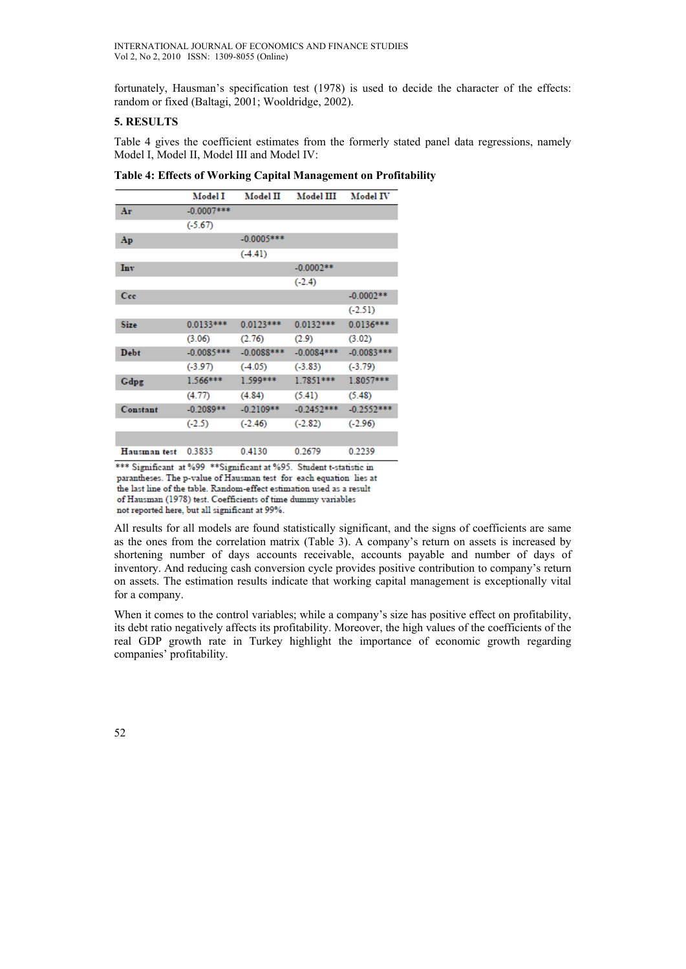fortunately, Hausman's specification test (1978) is used to decide the character of the effects: random or fixed (Baltagi, 2001; Wooldridge, 2002).

### **5. RESULTS**

Table 4 gives the coefficient estimates from the formerly stated panel data regressions, namely Model I, Model II, Model III and Model IV:

|              | Model I       | Model II     | Model III    | Model IV     |
|--------------|---------------|--------------|--------------|--------------|
| Ar           | $-0.0007$ *** |              |              |              |
|              | $(-5.67)$     |              |              |              |
| Ap           |               | $-0.0005***$ |              |              |
|              |               | $(-4.41)$    |              |              |
| Inv          |               |              | $-0.0002**$  |              |
|              |               |              | $(-2.4)$     |              |
| Cee          |               |              |              | $-0.0002**$  |
|              |               |              |              | $(-2.51)$    |
| <b>Size</b>  | $0.0133***$   | $0.0123***$  | $0.0132***$  | 0.0136***    |
|              | (3.06)        | (2.76)       | (2.9)        | (3.02)       |
| Debt         | $-0.0085***$  | $-0.0088***$ | $-0.0084***$ | $-0.0083***$ |
|              | $(-3.97)$     | $(-4.05)$    | $(-3.83)$    | $(-3.79)$    |
| Gdpg         | $1.566***$    | $1.599***$   | $1.7851***$  | 1.8057***    |
|              | (4.77)        | (4.84)       | (5.41)       | (5.48)       |
| Constant     | $-0.2089**$   | $-0.2109**$  | $-0.2452***$ | $-0.2552***$ |
|              | $(-2.5)$      | $(-2.46)$    | $(-2.82)$    | $(-2.96)$    |
|              |               |              |              |              |
| Hausman test | 0.3833        | 0.4130       | 0.2679       | 0.2239       |

**Table 4: Effects of Working Capital Management on Profitability** 

\*\*\* Significant at %99 \*\* Significant at %95. Student t-statistic in parantheses. The p-value of Hausman test for each equation lies at the last line of the table. Random-effect estimation used as a result of Hausman (1978) test. Coefficients of time dummy variables not reported here, but all significant at 99%.

All results for all models are found statistically significant, and the signs of coefficients are same as the ones from the correlation matrix (Table 3). A company's return on assets is increased by shortening number of days accounts receivable, accounts payable and number of days of inventory. And reducing cash conversion cycle provides positive contribution to company's return on assets. The estimation results indicate that working capital management is exceptionally vital for a company.

When it comes to the control variables; while a company's size has positive effect on profitability, its debt ratio negatively affects its profitability. Moreover, the high values of the coefficients of the real GDP growth rate in Turkey highlight the importance of economic growth regarding companies' profitability.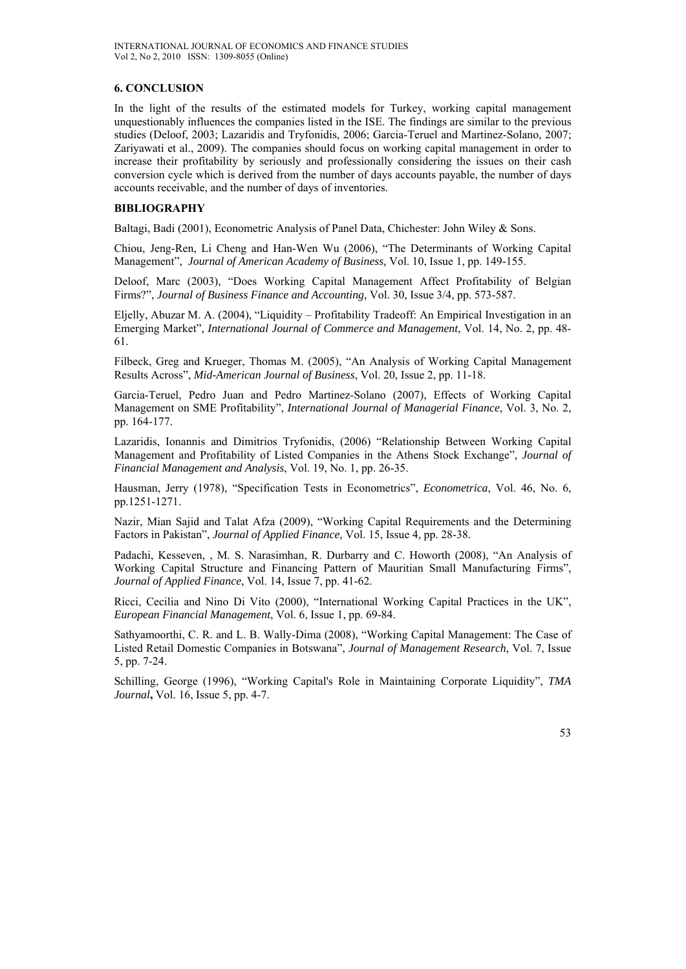### **6. CONCLUSION**

In the light of the results of the estimated models for Turkey, working capital management unquestionably influences the companies listed in the ISE. The findings are similar to the previous studies (Deloof, 2003; Lazaridis and Tryfonidis, 2006; Garcia-Teruel and Martinez-Solano, 2007; Zariyawati et al., 2009). The companies should focus on working capital management in order to increase their profitability by seriously and professionally considering the issues on their cash conversion cycle which is derived from the number of days accounts payable, the number of days accounts receivable, and the number of days of inventories.

### **BIBLIOGRAPHY**

Baltagi, Badi (2001), Econometric Analysis of Panel Data, Chichester: John Wiley & Sons.

Chiou, Jeng-Ren, Li Cheng and Han-Wen Wu (2006), "The Determinants of Working Capital Management", *Journal of American Academy of Business,* Vol. 10, Issue 1, pp. 149-155.

Deloof, Marc (2003), "Does Working Capital Management Affect Profitability of Belgian Firms?", *Journal of Business Finance and Accounting,* Vol. 30, Issue 3/4, pp. 573-587.

Eljelly, Abuzar M. A. (2004), "Liquidity – Profitability Tradeoff: An Empirical Investigation in an Emerging Market", *International Journal of Commerce and Management*, Vol. 14, No. 2, pp. 48- 61.

Filbeck, Greg and Krueger, Thomas M. (2005), "An Analysis of Working Capital Management Results Across", *Mid-American Journal of Business*, Vol. 20, Issue 2, pp. 11-18.

Garcia-Teruel, Pedro Juan and Pedro Martinez-Solano (2007), Effects of Working Capital Management on SME Profitability", *International Journal of Managerial Finance*, Vol. 3, No. 2, pp. 164-177.

Lazaridis, Ionannis and Dimitrios Tryfonidis, (2006) "Relationship Between Working Capital Management and Profitability of Listed Companies in the Athens Stock Exchange", *Journal of Financial Management and Analysis*, Vol. 19, No. 1, pp. 26-35.

Hausman, Jerry (1978), "Specification Tests in Econometrics", *Econometrica*, Vol. 46, No. 6, pp.1251-1271.

Nazir, Mian Sajid and Talat Afza (2009), "Working Capital Requirements and the Determining Factors in Pakistan", *Journal of Applied Finance,* Vol. 15, Issue 4, pp. 28-38.

Padachi, Kesseven, , M. S. Narasimhan, R. Durbarry and C. Howorth (2008), "An Analysis of Working Capital Structure and Financing Pattern of Mauritian Small Manufacturing Firms", *Journal of Applied Finance*, Vol. 14, Issue 7, pp. 41-62.

Ricci, Cecilia and Nino Di Vito (2000), "International Working Capital Practices in the UK", *European Financial Management*, Vol. 6, Issue 1, pp. 69-84.

Sathyamoorthi, C. R. and L. B. Wally-Dima (2008), "Working Capital Management: The Case of Listed Retail Domestic Companies in Botswana", *Journal of Management Research*, Vol. 7, Issue 5, pp. 7-24.

Schilling, George (1996), "Working Capital's Role in Maintaining Corporate Liquidity", *TMA Journal***,** Vol. 16, Issue 5, pp. 4-7.